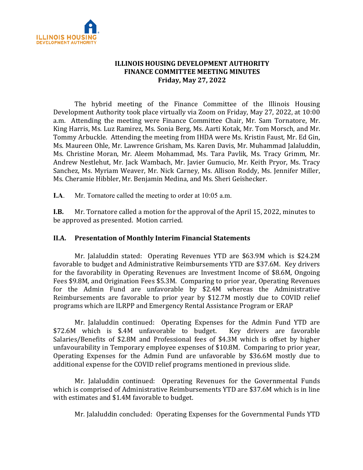

## **ILLINOIS HOUSING DEVELOPMENT AUTHORITY FINANCE COMMITTEE MEETING MINUTES Friday, May 27, 2022**

The hybrid meeting of the Finance Committee of the Illinois Housing Development Authority took place virtually via Zoom on Friday, May 27, 2022, at 10:00 a.m. Attending the meeting were Finance Committee Chair, Mr. Sam Tornatore, Mr. King Harris, Ms. Luz Ramirez, Ms. Sonia Berg, Ms. Aarti Kotak, Mr. Tom Morsch, and Mr. Tommy Arbuckle. Attending the meeting from IHDA were Ms. Kristin Faust, Mr. Ed Gin, Ms. Maureen Ohle, Mr. Lawrence Grisham, Ms. Karen Davis, Mr. Muhammad Jalaluddin, Ms. Christine Moran, Mr. Aleem Mohammad, Ms. Tara Pavlik, Ms. Tracy Grimm, Mr. Andrew Nestlehut, Mr. Jack Wambach, Mr. Javier Gumucio, Mr. Keith Pryor, Ms. Tracy Sanchez, Ms. Myriam Weaver, Mr. Nick Carney, Ms. Allison Roddy, Ms. Jennifer Miller, Ms. Cheramie Hibbler, Mr. Benjamin Medina, and Ms. Sheri Geishecker.

**I.A**. Mr. Tornatore called the meeting to order at 10:05 a.m.

**I.B.** Mr. Tornatore called a motion for the approval of the April 15, 2022, minutes to be approved as presented. Motion carried.

## **II.A. Presentation of Monthly Interim Financial Statements**

Mr. Jalaluddin stated: Operating Revenues YTD are \$63.9M which is \$24.2M favorable to budget and Administrative Reimbursements YTD are \$37.6M. Key drivers for the favorability in Operating Revenues are Investment Income of \$8.6M, Ongoing Fees \$9.8M, and Origination Fees \$5.3M. Comparing to prior year, Operating Revenues for the Admin Fund are unfavorable by \$2.4M whereas the Administrative Reimbursements are favorable to prior year by \$12.7M mostly due to COVID relief programs which are ILRPP and Emergency Rental Assistance Program or ERAP

Mr. Jalaluddin continued: Operating Expenses for the Admin Fund YTD are<br>I which is \$.4M unfavorable to budget. Key drivers are favorable \$72.6M which is \$.4M unfavorable to budget. Salaries/Benefits of \$2.8M and Professional fees of \$4.3M which is offset by higher unfavourability in Temporary employee expenses of \$10.8M. Comparing to prior year, Operating Expenses for the Admin Fund are unfavorable by \$36.6M mostly due to additional expense for the COVID relief programs mentioned in previous slide.

Mr. Jalaluddin continued: Operating Revenues for the Governmental Funds which is comprised of Administrative Reimbursements YTD are \$37.6M which is in line with estimates and \$1.4M favorable to budget.

Mr. Jalaluddin concluded: Operating Expenses for the Governmental Funds YTD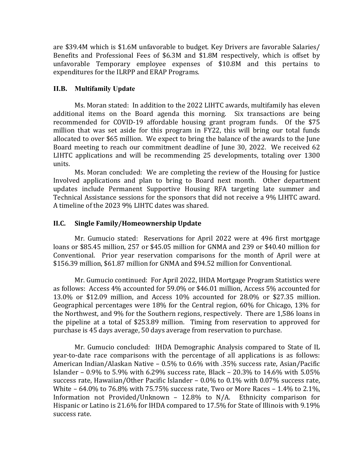are \$39.4M which is \$1.6M unfavorable to budget. Key Drivers are favorable Salaries/ Benefits and Professional Fees of \$6.3M and \$1.8M respectively, which is offset by unfavorable Temporary employee expenses of \$10.8M and this pertains to expenditures for the ILRPP and ERAP Programs.

## **II.B. Multifamily Update**

Ms. Moran stated: In addition to the 2022 LIHTC awards, multifamily has eleven additional items on the Board agenda this morning. Six transactions are being recommended for COVID-19 affordable housing grant program funds. Of the \$75 million that was set aside for this program in FY22, this will bring our total funds allocated to over \$65 million. We expect to bring the balance of the awards to the June Board meeting to reach our commitment deadline of June 30, 2022. We received 62 LIHTC applications and will be recommending 25 developments, totaling over 1300 units.

Ms. Moran concluded: We are completing the review of the Housing for Justice Involved applications and plan to bring to Board next month. Other department updates include Permanent Supportive Housing RFA targeting late summer and Technical Assistance sessions for the sponsors that did not receive a 9% LIHTC award. A timeline of the 2023 9% LIHTC dates was shared.

# **II.C. Single Family/Homeownership Update**

Mr. Gumucio stated: Reservations for April 2022 were at 496 first mortgage loans or \$85.45 million, 257 or \$45.05 million for GNMA and 239 or \$40.40 million for Conventional. Prior year reservation comparisons for the month of April were at \$156.39 million, \$61.87 million for GNMA and \$94.52 million for Conventional.

Mr. Gumucio continued: For April 2022, IHDA Mortgage Program Statistics were as follows: Access 4% accounted for 59.0% or \$46.01 million, Access 5% accounted for 13.0% or \$12.09 million, and Access 10% accounted for 28.0% or \$27.35 million. Geographical percentages were 18% for the Central region, 60% for Chicago, 13% for the Northwest, and 9% for the Southern regions, respectively. There are 1,586 loans in the pipeline at a total of \$253.89 million. Timing from reservation to approved for purchase is 45 days average, 50 days average from reservation to purchase.

Mr. Gumucio concluded: IHDA Demographic Analysis compared to State of IL year-to-date race comparisons with the percentage of all applications is as follows: American Indian/Alaskan Native – 0.5% to 0.6% with .35% success rate, Asian/Pacific Islander – 0.9% to 5.9% with 6.29% success rate, Black – 20.3% to 14.6% with 5.05% success rate, Hawaiian/Other Pacific Islander – 0.0% to 0.1% with 0.07% success rate, White – 64.0% to 76.8% with 75.75% success rate, Two or More Races – 1.4% to 2.1%, Information not Provided/Unknown – 12.8% to N/A. Ethnicity comparison for Hispanic or Latino is 21.6% for IHDA compared to 17.5% for State of Illinois with 9.19% success rate.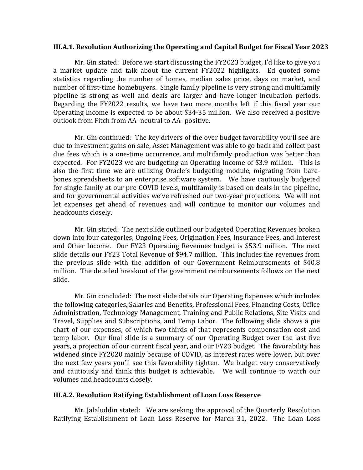#### **III.A.1. Resolution Authorizing the Operating and Capital Budget for Fiscal Year 2023**

Mr. Gin stated: Before we start discussing the FY2023 budget, I'd like to give you a market update and talk about the current FY2022 highlights. Ed quoted some statistics regarding the number of homes, median sales price, days on market, and number of first-time homebuyers. Single family pipeline is very strong and multifamily pipeline is strong as well and deals are larger and have longer incubation periods. Regarding the FY2022 results, we have two more months left if this fiscal year our Operating Income is expected to be about \$34-35 million. We also received a positive outlook from Fitch from AA- neutral to AA- positive.

Mr. Gin continued: The key drivers of the over budget favorability you'll see are due to investment gains on sale, Asset Management was able to go back and collect past due fees which is a one-time occurrence, and multifamily production was better than expected. For FY2023 we are budgeting an Operating Income of \$3.9 million. This is also the first time we are utilizing Oracle's budgeting module, migrating from barebones spreadsheets to an enterprise software system. We have cautiously budgeted for single family at our pre-COVID levels, multifamily is based on deals in the pipeline, and for governmental activities we've refreshed our two-year projections. We will not let expenses get ahead of revenues and will continue to monitor our volumes and headcounts closely.

Mr. Gin stated: The next slide outlined our budgeted Operating Revenues broken down into four categories, Ongoing Fees, Origination Fees, Insurance Fees, and Interest and Other Income. Our FY23 Operating Revenues budget is \$53.9 million. The next slide details our FY23 Total Revenue of \$94.7 million. This includes the revenues from the previous slide with the addition of our Government Reimbursements of \$40.8 million. The detailed breakout of the government reimbursements follows on the next slide.

Mr. Gin concluded: The next slide details our Operating Expenses which includes the following categories, Salaries and Benefits, Professional Fees, Financing Costs, Office Administration, Technology Management, Training and Public Relations, Site Visits and Travel, Supplies and Subscriptions, and Temp Labor. The following slide shows a pie chart of our expenses, of which two-thirds of that represents compensation cost and temp labor. Our final slide is a summary of our Operating Budget over the last five years, a projection of our current fiscal year, and our FY23 budget. The favorability has widened since FY2020 mainly because of COVID, as interest rates were lower, but over the next few years you'll see this favorability tighten. We budget very conservatively and cautiously and think this budget is achievable. We will continue to watch our volumes and headcounts closely.

### **III.A.2. Resolution Ratifying Establishment of Loan Loss Reserve**

Mr. Jalaluddin stated:We are seeking the approval of the Quarterly Resolution Ratifying Establishment of Loan Loss Reserve for March 31, 2022. The Loan Loss